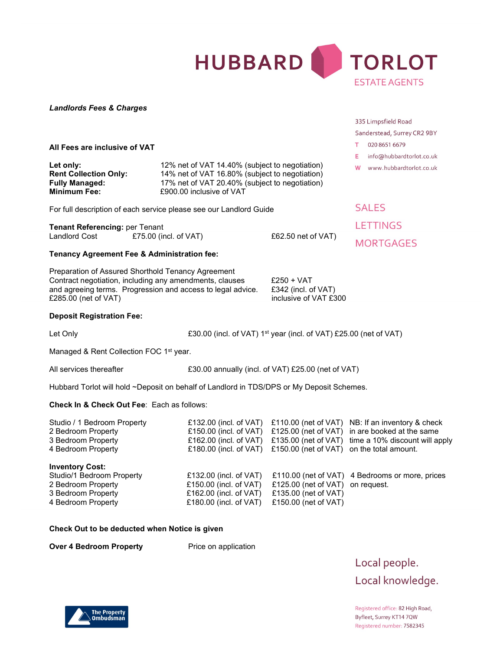

### Landlords Fees & Charges

#### All Fees are inclusive of VAT

| Let only:                    |
|------------------------------|
| <b>Rent Collection Only:</b> |
| <b>Fully Managed:</b>        |
| <b>Minimum Fee:</b>          |

12% net of VAT 14.40% (subject to negotiation) 14% net of VAT 16.80% (subject to negotiation) 17% net of VAT 20.40% (subject to negotiation) £900.00 inclusive of VAT

For full description of each service please see our Landlord Guide

| <b>Tenant Referencing: per Tenant</b> |                          |  |  |  |  |  |  |
|---------------------------------------|--------------------------|--|--|--|--|--|--|
| <b>Landlord Cost</b>                  | £75.00 (incl. of $VAT$ ) |  |  |  |  |  |  |

 $£62.50$  net of VAT)

#### Tenancy Agreement Fee & Administration fee:

Preparation of Assured Shorthold Tenancy Agreement Contract negotiation, including any amendments, clauses £250 + VAT and agreeing terms. Progression and access to legal advice. £342 (incl. of VAT) £285.00 (net of VAT) inclusive of VAT £300

#### Deposit Registration Fee:

Let Only **EXALUATE:** E30.00 (incl. of VAT) 1<sup>st</sup> year (incl. of VAT) £25.00 (net of VAT)

Managed & Rent Collection FOC 1<sup>st</sup> year.

All services thereafter E30.00 annually (incl. of VAT) £25.00 (net of VAT)

Hubbard Torlot will hold ~Deposit on behalf of Landlord in TDS/DPS or My Deposit Schemes.

### Check In & Check Out Fee: Each as follows:

| Studio / 1 Bedroom Property<br>2 Bedroom Property<br>3 Bedroom Property<br>4 Bedroom Property                         | £132.00 (incl. of $VAT$ )<br>£150.00 (incl. of $VAT$ )<br>£162.00 (incl. of $VAT$ )<br>£180.00 (incl. of $VAT$ ) | £150.00 (net of VAT) on the total amount.                            | £110.00 (net of VAT) NB: If an inventory & check<br>£125.00 (net of VAT) in are booked at the same<br>£135.00 (net of VAT) time a 10% discount will apply |
|-----------------------------------------------------------------------------------------------------------------------|------------------------------------------------------------------------------------------------------------------|----------------------------------------------------------------------|-----------------------------------------------------------------------------------------------------------------------------------------------------------|
| <b>Inventory Cost:</b><br>Studio/1 Bedroom Property<br>2 Bedroom Property<br>3 Bedroom Property<br>4 Bedroom Property | £132.00 (incl. of VAT)<br>£150.00 (incl. of VAT)<br>£162.00 (incl. of $VAT$ )<br>£180.00 (incl. of $VAT$ )       | £125.00 (net of VAT)<br>£135.00 (net of VAT)<br>£150.00 (net of VAT) | £110.00 (net of VAT) 4 Bedrooms or more, prices<br>on request.                                                                                            |

#### Check Out to be deducted when Notice is given

Over 4 Bedroom Property Price on application

Local people. Local knowledge.

Registered office: 82 High Road, Byfleet, Surrey KT14 7QW Registered number: 7582345



**SALES LETTINGS** 

335 Limpsfield Road

T 020 8651 6679

Sanderstead, Surrey CR2 9BY

E info@hubbardtorlot.co.uk W www.hubbardtorlot.co.uk

**MORTGAGES**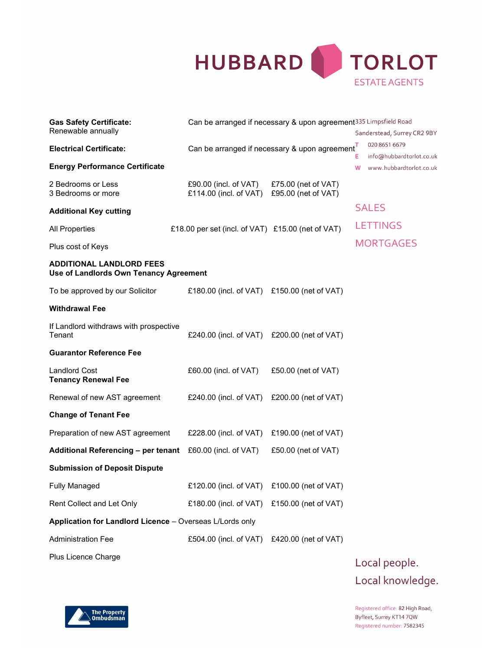

| <b>Gas Safety Certificate:</b>                                            | Can be arranged if necessary & upon agreement <sup>335</sup> Limpsfield Road |                                               |                  |                                                     |
|---------------------------------------------------------------------------|------------------------------------------------------------------------------|-----------------------------------------------|------------------|-----------------------------------------------------|
| Renewable annually                                                        |                                                                              |                                               |                  | Sanderstead, Surrey CR2 9BY                         |
| <b>Electrical Certificate:</b>                                            | Can be arranged if necessary & upon agreement                                |                                               | т                | 020 8651 6679                                       |
| <b>Energy Performance Certificate</b>                                     |                                                                              |                                               | Е<br>w           | info@hubbardtorlot.co.uk<br>www.hubbardtorlot.co.uk |
| 2 Bedrooms or Less<br>3 Bedrooms or more                                  | £90.00 (incl. of $VAT$ )<br>£114.00 (incl. of VAT)                           | £75.00 (net of $VAT$ )<br>£95.00 (net of VAT) |                  |                                                     |
| <b>Additional Key cutting</b>                                             |                                                                              |                                               |                  | <b>SALES</b>                                        |
| <b>All Properties</b>                                                     | £18.00 per set (incl. of VAT) £15.00 (net of VAT)                            |                                               |                  | <b>LETTINGS</b>                                     |
| Plus cost of Keys                                                         |                                                                              |                                               | <b>MORTGAGES</b> |                                                     |
| <b>ADDITIONAL LANDLORD FEES</b><br>Use of Landlords Own Tenancy Agreement |                                                                              |                                               |                  |                                                     |
| To be approved by our Solicitor                                           | £180.00 (incl. of VAT) £150.00 (net of VAT)                                  |                                               |                  |                                                     |
| <b>Withdrawal Fee</b>                                                     |                                                                              |                                               |                  |                                                     |
| If Landlord withdraws with prospective<br>Tenant                          | £240.00 (incl. of VAT) £200.00 (net of VAT)                                  |                                               |                  |                                                     |
| <b>Guarantor Reference Fee</b>                                            |                                                                              |                                               |                  |                                                     |
| <b>Landlord Cost</b><br><b>Tenancy Renewal Fee</b>                        | £60.00 (incl. of VAT)                                                        | £50.00 (net of VAT)                           |                  |                                                     |
| Renewal of new AST agreement                                              | £240.00 (incl. of VAT)                                                       | £200.00 (net of VAT)                          |                  |                                                     |
| <b>Change of Tenant Fee</b>                                               |                                                                              |                                               |                  |                                                     |
| Preparation of new AST agreement                                          | £228.00 (incl. of VAT)                                                       | £190.00 (net of $VAT$ )                       |                  |                                                     |
| Additional Referencing - per tenant                                       | £60.00 (incl. of VAT)                                                        | £50.00 (net of VAT)                           |                  |                                                     |
| <b>Submission of Deposit Dispute</b>                                      |                                                                              |                                               |                  |                                                     |
| <b>Fully Managed</b>                                                      | £120.00 (incl. of VAT) £100.00 (net of VAT)                                  |                                               |                  |                                                     |
| Rent Collect and Let Only                                                 | £180.00 (incl. of VAT) £150.00 (net of VAT)                                  |                                               |                  |                                                     |
| Application for Landlord Licence - Overseas L/Lords only                  |                                                                              |                                               |                  |                                                     |
| <b>Administration Fee</b>                                                 | £504.00 (incl. of VAT) £420.00 (net of VAT)                                  |                                               |                  |                                                     |
| Plus Licence Charge                                                       |                                                                              |                                               |                  |                                                     |

Local people. Local knowledge.

Registered office: 82 High Road, Byfleet, Surrey KT14 7QW Registered number: 7582345